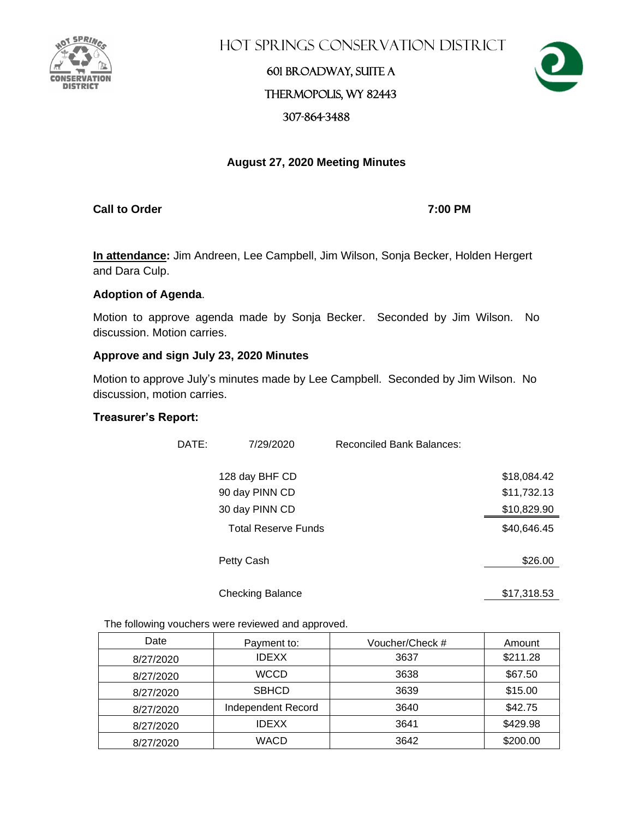

**HOT SPRINGS CONSERVATION DISTRICT** 

## 601 Broadway, Suite A Thermopolis, WY 82443 307-864-3488



## **August 27, 2020 Meeting Minutes**

**Call to Order 7:00 PM**

**In attendance:** Jim Andreen, Lee Campbell, Jim Wilson, Sonja Becker, Holden Hergert and Dara Culp.

## **Adoption of Agenda**.

Motion to approve agenda made by Sonja Becker. Seconded by Jim Wilson. No discussion. Motion carries.

## **Approve and sign July 23, 2020 Minutes**

Motion to approve July's minutes made by Lee Campbell. Seconded by Jim Wilson. No discussion, motion carries.

## **Treasurer's Report:**

| DATE: | 7/29/2020                  | Reconciled Bank Balances: |             |
|-------|----------------------------|---------------------------|-------------|
|       | 128 day BHF CD             |                           | \$18,084.42 |
|       | 90 day PINN CD             |                           | \$11,732.13 |
|       | 30 day PINN CD             |                           | \$10,829.90 |
|       | <b>Total Reserve Funds</b> |                           | \$40,646.45 |
|       | Petty Cash                 |                           | \$26.00     |
|       | <b>Checking Balance</b>    |                           | \$17,318.53 |

The following vouchers were reviewed and approved.

| Date      | Payment to:        | Voucher/Check # | Amount   |
|-----------|--------------------|-----------------|----------|
| 8/27/2020 | <b>IDEXX</b>       | 3637            | \$211.28 |
| 8/27/2020 | <b>WCCD</b>        | 3638            | \$67.50  |
| 8/27/2020 | <b>SBHCD</b>       | 3639            | \$15.00  |
| 8/27/2020 | Independent Record | 3640            | \$42.75  |
| 8/27/2020 | <b>IDEXX</b>       | 3641            | \$429.98 |
| 8/27/2020 | <b>WACD</b>        | 3642            | \$200.00 |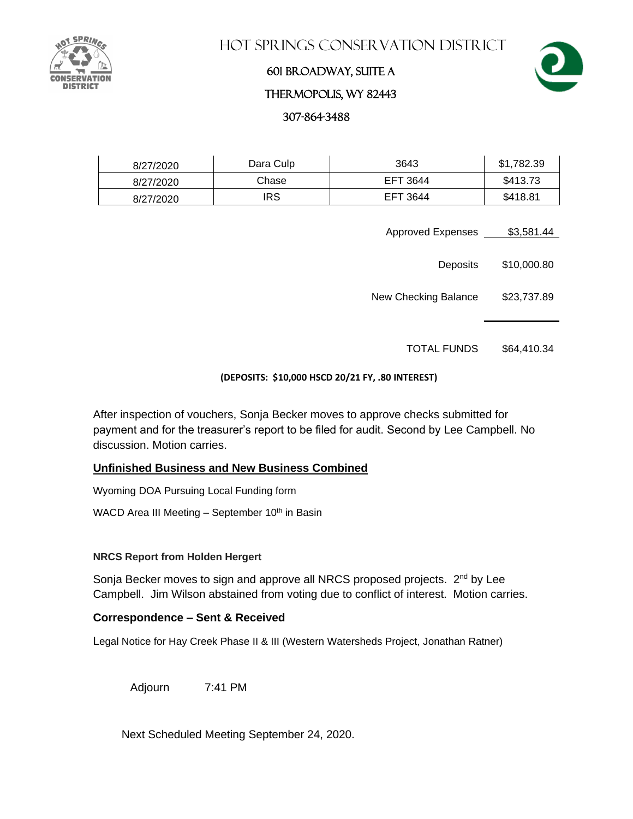

Hot Springs Conservation District

## 601 Broadway, Suite A

## Thermopolis, WY 82443

307-864-3488

| 8/27/2020 | Dara Culp  | 3643     | \$1,782.39 |
|-----------|------------|----------|------------|
| 8/27/2020 | Chase      | EFT 3644 | \$413.73   |
| 8/27/2020 | <b>IRS</b> | EFT 3644 | \$418.81   |

- Approved Expenses \$3,581.44
	- Deposits \$10,000.80

New Checking Balance \$23,737.89

TOTAL FUNDS \$64,410.34

## **(DEPOSITS: \$10,000 HSCD 20/21 FY, .80 INTEREST)**

After inspection of vouchers, Sonja Becker moves to approve checks submitted for payment and for the treasurer's report to be filed for audit. Second by Lee Campbell. No discussion. Motion carries.

## **Unfinished Business and New Business Combined**

Wyoming DOA Pursuing Local Funding form

WACD Area III Meeting  $-$  September 10<sup>th</sup> in Basin

## **NRCS Report from Holden Hergert**

Sonja Becker moves to sign and approve all NRCS proposed projects. 2<sup>nd</sup> by Lee Campbell. Jim Wilson abstained from voting due to conflict of interest. Motion carries.

## **Correspondence – Sent & Received**

Legal Notice for Hay Creek Phase II & III (Western Watersheds Project, Jonathan Ratner)

Adjourn 7:41 PM

Next Scheduled Meeting September 24, 2020.